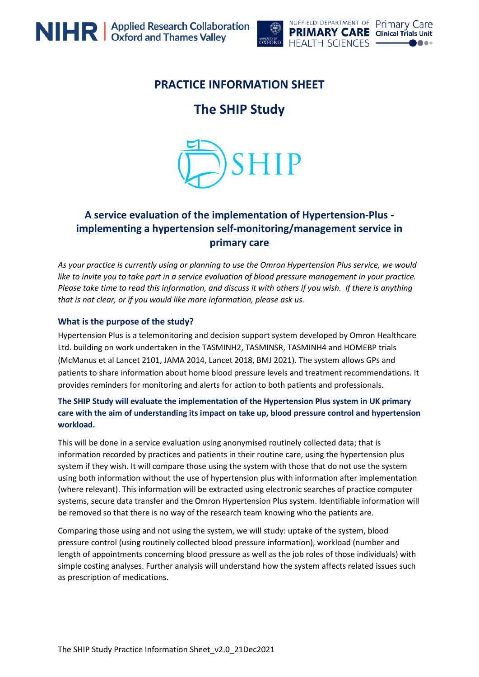

# **PRACTICE INFORMATION SHEET**

# **The SHIP Study**



## **A service evaluation of the implementation of Hypertension-Plus implementing a hypertension self-monitoring/management service in primary care**

*As your practice is currently using or planning to use the Omron Hypertension Plus service, we would like to invite you to take part in a service evaluation of blood pressure management in your practice. Please take time to read this information, and discuss it with others if you wish. If there is anything that is not clear, or if you would like more information, please ask us.*

#### **What is the purpose of the study?**

Hypertension Plus is a telemonitoring and decision support system developed by Omron Healthcare Ltd. building on work undertaken in the TASMINH2, TASMINSR, TASMINH4 and HOMEBP trials (McManus et al Lancet 2101, JAMA 2014, Lancet 2018, BMJ 2021). The system allows GPs and patients to share information about home blood pressure levels and treatment recommendations. It provides reminders for monitoring and alerts for action to both patients and professionals.

### **The SHIP Study will evaluate the implementation of the Hypertension Plus system in UK primary care with the aim of understanding its impact on take up, blood pressure control and hypertension workload.**

This will be done in a service evaluation using anonymised routinely collected data; that is information recorded by practices and patients in their routine care, using the hypertension plus system if they wish. It will compare those using the system with those that do not use the system using both information without the use of hypertension plus with information after implementation (where relevant). This information will be extracted using electronic searches of practice computer systems, secure data transfer and the Omron Hypertension Plus system. Identifiable information will be removed so that there is no way of the research team knowing who the patients are.

Comparing those using and not using the system, we will study: uptake of the system, blood pressure control (using routinely collected blood pressure information), workload (number and length of appointments concerning blood pressure as well as the job roles of those individuals) with simple costing analyses. Further analysis will understand how the system affects related issues such as prescription of medications.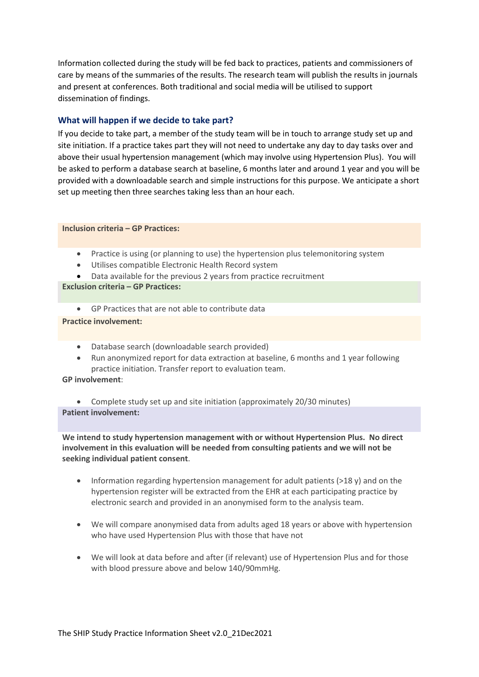Information collected during the study will be fed back to practices, patients and commissioners of care by means of the summaries of the results. The research team will publish the results in journals and present at conferences. Both traditional and social media will be utilised to support dissemination of findings.

#### **What will happen if we decide to take part?**

If you decide to take part, a member of the study team will be in touch to arrange study set up and site initiation. If a practice takes part they will not need to undertake any day to day tasks over and above their usual hypertension management (which may involve using Hypertension Plus). You will be asked to perform a database search at baseline, 6 months later and around 1 year and you will be provided with a downloadable search and simple instructions for this purpose. We anticipate a short set up meeting then three searches taking less than an hour each.

#### **Inclusion criteria – GP Practices:**

- Practice is using (or planning to use) the hypertension plus telemonitoring system
- Utilises compatible Electronic Health Record system
- Data available for the previous 2 years from practice recruitment

#### **Exclusion criteria – GP Practices:**

GP Practices that are not able to contribute data

#### **Practice involvement:**

- Database search (downloadable search provided)
- Run anonymized report for data extraction at baseline, 6 months and 1 year following practice initiation. Transfer report to evaluation team.

#### **GP involvement**:

 Complete study set up and site initiation (approximately 20/30 minutes) **Patient involvement:**

**We intend to study hypertension management with or without Hypertension Plus. No direct involvement in this evaluation will be needed from consulting patients and we will not be seeking individual patient consent**.

- Information regarding hypertension management for adult patients (>18 y) and on the hypertension register will be extracted from the EHR at each participating practice by electronic search and provided in an anonymised form to the analysis team.
- We will compare anonymised data from adults aged 18 years or above with hypertension who have used Hypertension Plus with those that have not
- We will look at data before and after (if relevant) use of Hypertension Plus and for those with blood pressure above and below 140/90mmHg.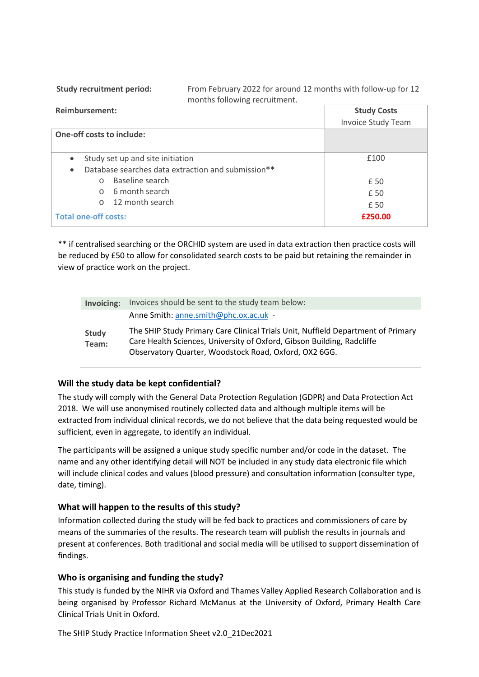**Study recruitment period:** From February 2022 for around 12 months with follow-up for 12 months following recruitment.

| <b>Reimbursement:</b>                              | <b>Study Costs</b>        |
|----------------------------------------------------|---------------------------|
|                                                    | <b>Invoice Study Team</b> |
| <b>One-off costs to include:</b>                   |                           |
|                                                    |                           |
| Study set up and site initiation                   | £100                      |
| Database searches data extraction and submission** |                           |
| Baseline search<br>$\cap$                          | £ 50                      |
| 6 month search<br>$\cap$                           | £ 50                      |
| 12 month search<br>$\cap$                          | £ 50                      |
| <b>Total one-off costs:</b>                        | £250.00                   |

\*\* if centralised searching or the ORCHID system are used in data extraction then practice costs will be reduced by £50 to allow for consolidated search costs to be paid but retaining the remainder in view of practice work on the project.

| Invoicing:     | Invoices should be sent to the study team below:                                                                                                                                                                    |
|----------------|---------------------------------------------------------------------------------------------------------------------------------------------------------------------------------------------------------------------|
|                | Anne Smith: anne.smith@phc.ox.ac.uk -                                                                                                                                                                               |
| Study<br>Team: | The SHIP Study Primary Care Clinical Trials Unit, Nuffield Department of Primary<br>Care Health Sciences, University of Oxford, Gibson Building, Radcliffe<br>Observatory Quarter, Woodstock Road, Oxford, OX2 6GG. |

#### **Will the study data be kept confidential?**

The study will comply with the General Data Protection Regulation (GDPR) and Data Protection Act 2018. We will use anonymised routinely collected data and although multiple items will be extracted from individual clinical records, we do not believe that the data being requested would be sufficient, even in aggregate, to identify an individual.

The participants will be assigned a unique study specific number and/or code in the dataset. The name and any other identifying detail will NOT be included in any study data electronic file which will include clinical codes and values (blood pressure) and consultation information (consulter type, date, timing).

#### **What will happen to the results of this study?**

Information collected during the study will be fed back to practices and commissioners of care by means of the summaries of the results. The research team will publish the results in journals and present at conferences. Both traditional and social media will be utilised to support dissemination of findings.

#### **Who is organising and funding the study?**

This study is funded by the NIHR via Oxford and Thames Valley Applied Research Collaboration and is being organised by Professor Richard McManus at the University of Oxford, Primary Health Care Clinical Trials Unit in Oxford.

The SHIP Study Practice Information Sheet v2.0\_21Dec2021